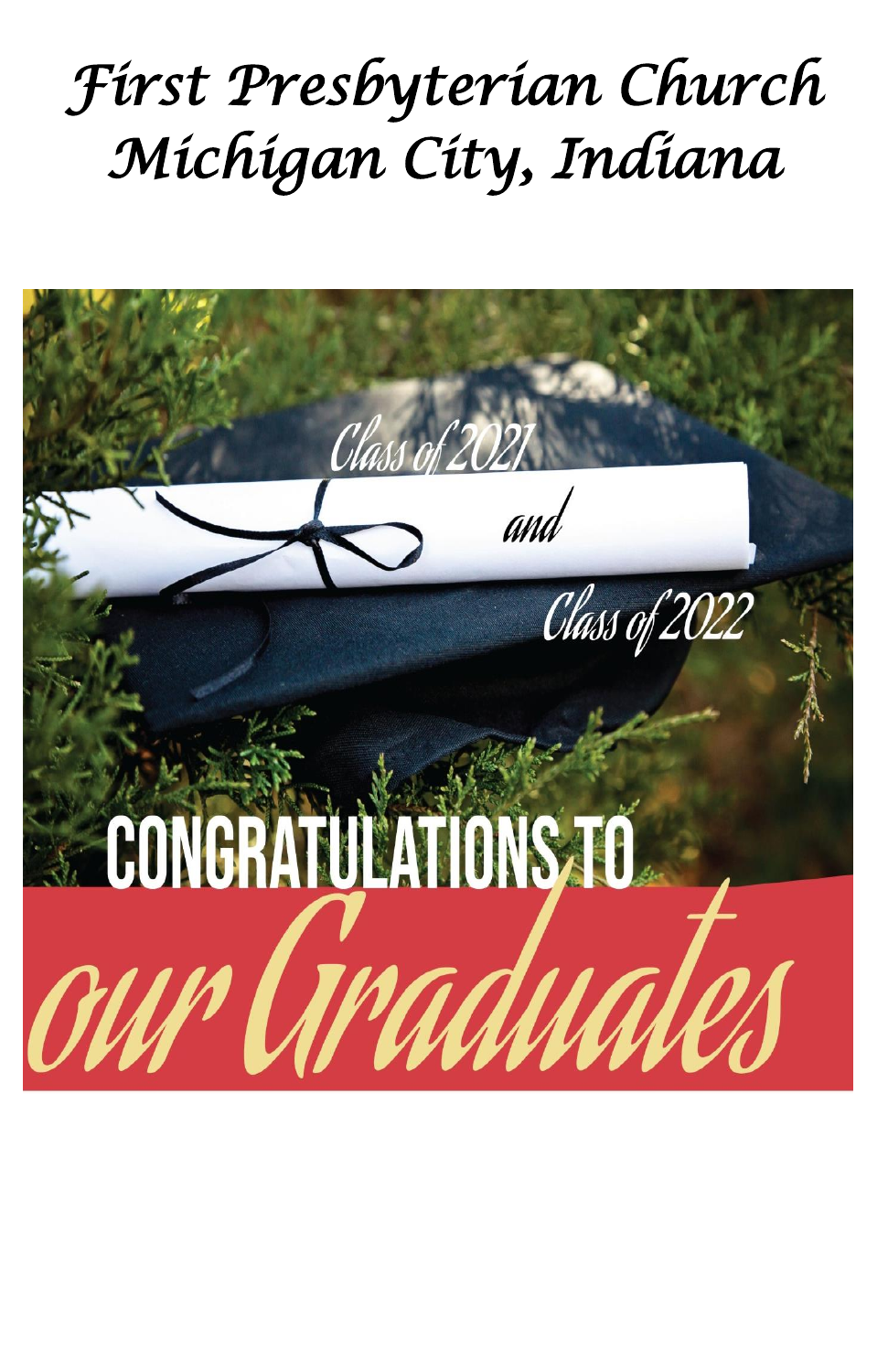# *First Presbyterian Church Michigan City, Indiana*

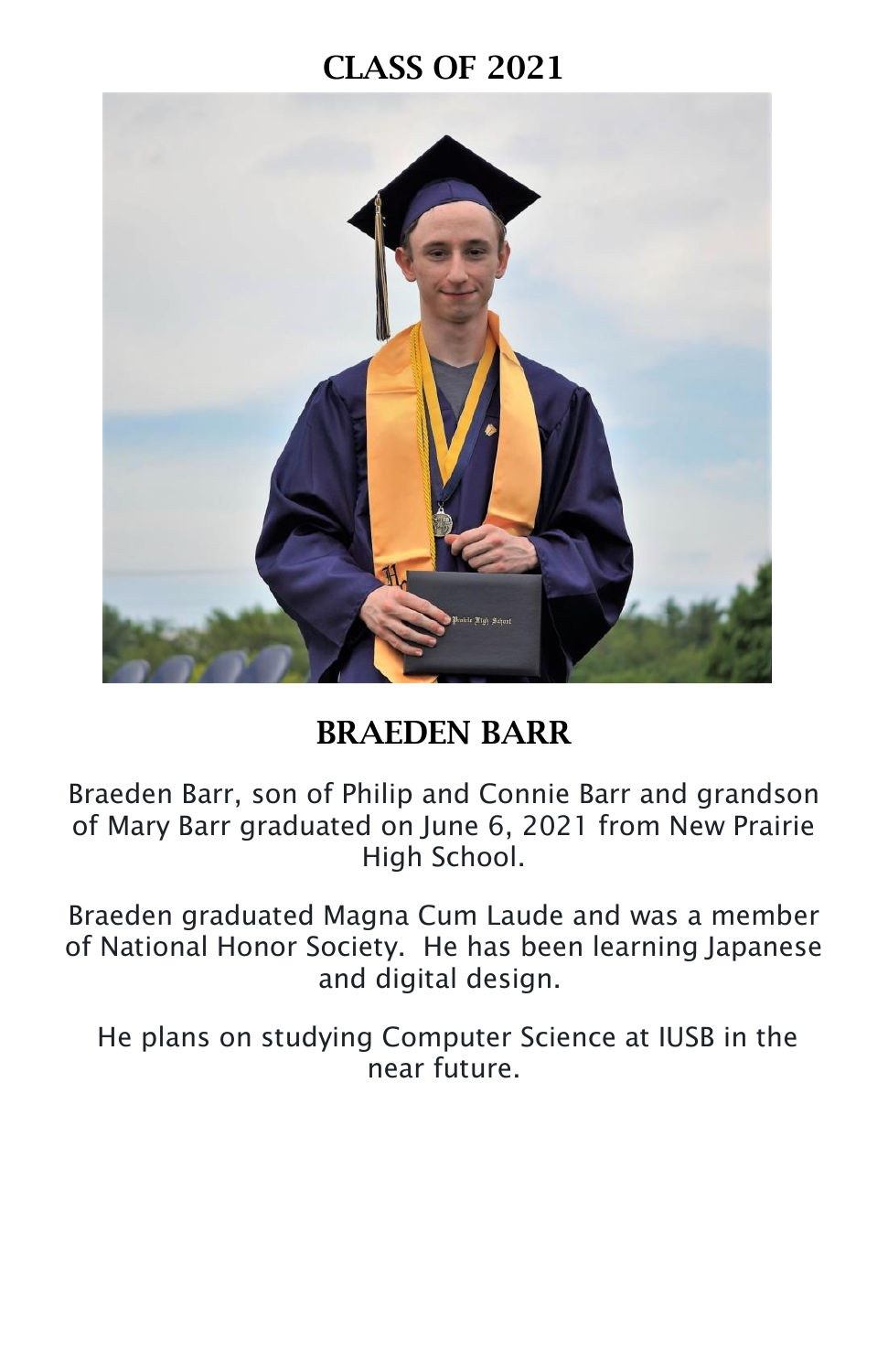

## **BRAEDEN BARR**

Braeden Barr, son of Philip and Connie Barr and grandson of Mary Barr graduated on June 6, 2021 from New Prairie High School.

Braeden graduated Magna Cum Laude and was a member of National Honor Society. He has been learning Japanese and digital design.

He plans on studying Computer Science at IUSB in the near future.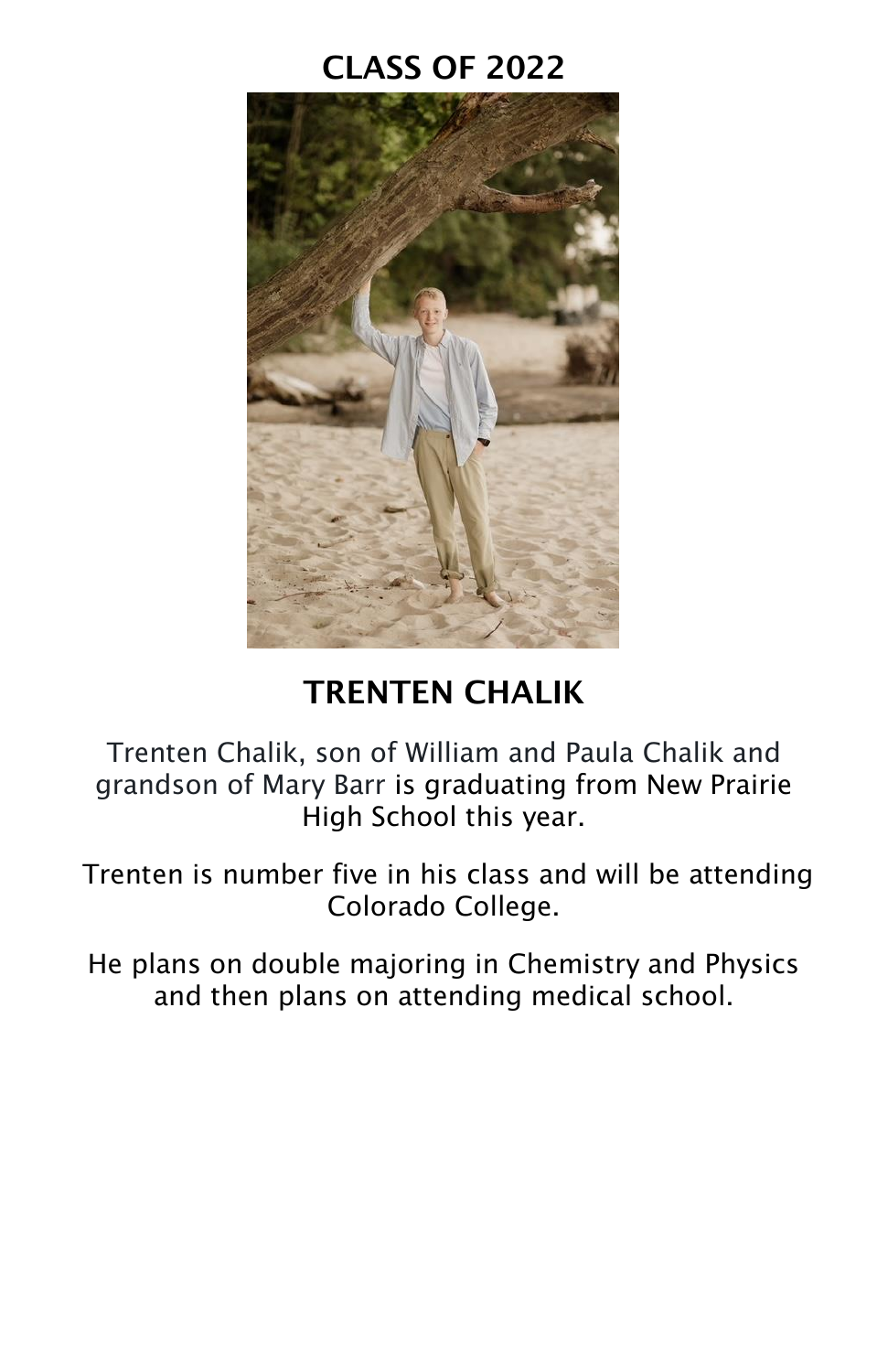

# **TRENTEN CHALIK**

Trenten Chalik, son of William and Paula Chalik and grandson of Mary Barr is graduating from New Prairie High School this year.

Trenten is number five in his class and will be attending Colorado College.

He plans on double majoring in Chemistry and Physics and then plans on attending medical school.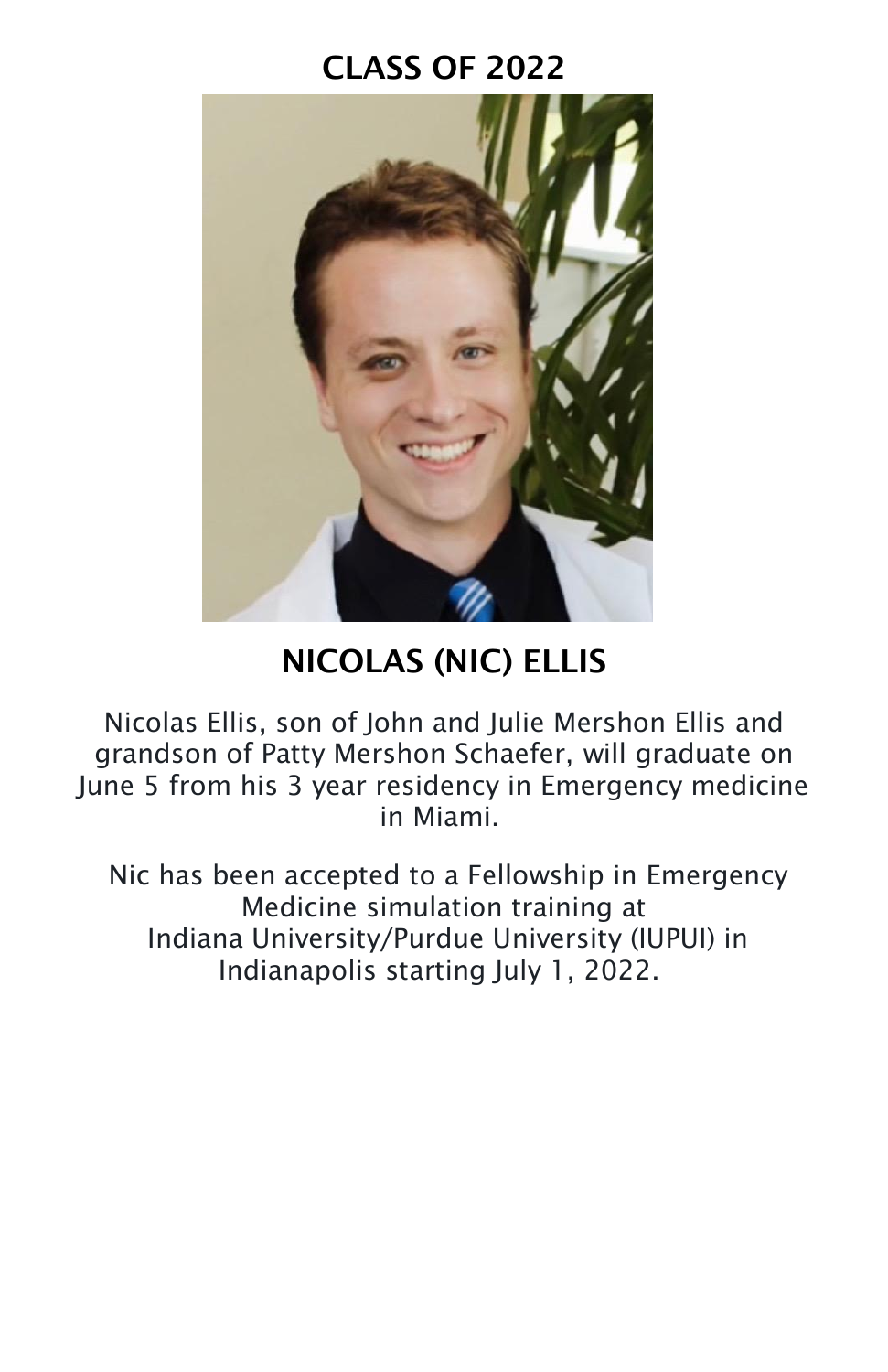

# **NICOLAS (NIC) ELLIS**

Nicolas Ellis, son of John and Julie Mershon Ellis and grandson of Patty Mershon Schaefer, will graduate on June 5 from his 3 year residency in Emergency medicine in Miami.

Nic has been accepted to a Fellowship in Emergency Medicine simulation training at Indiana University/Purdue University (IUPUI) in Indianapolis starting July 1, 2022.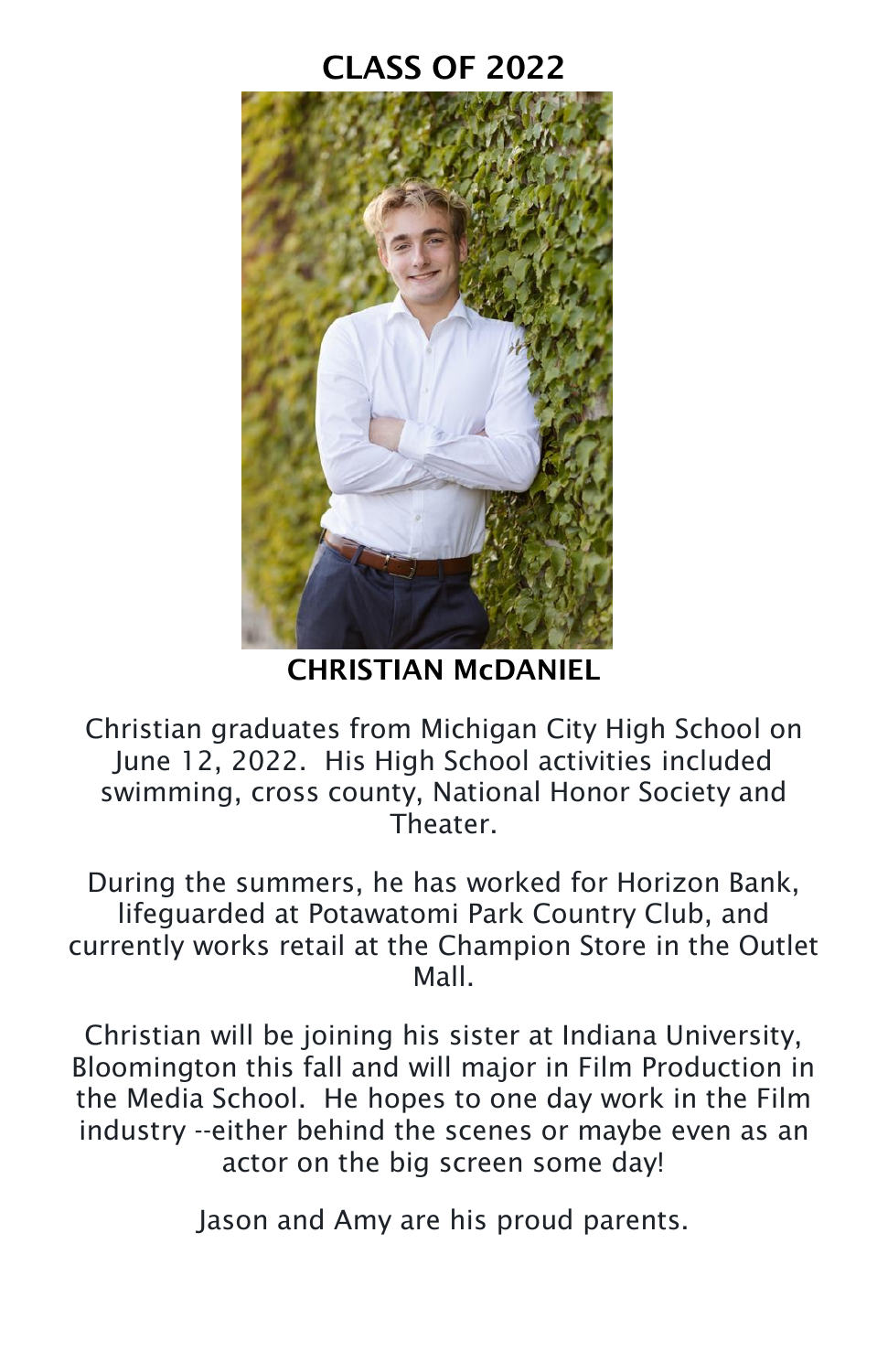

**CHRISTIAN McDANIEL**

Christian graduates from Michigan City High School on June 12, 2022. His High School activities included swimming, cross county, National Honor Society and Theater.

During the summers, he has worked for Horizon Bank, lifeguarded at Potawatomi Park Country Club, and currently works retail at the Champion Store in the Outlet Mall.

Christian will be joining his sister at Indiana University, Bloomington this fall and will major in Film Production in the Media School. He hopes to one day work in the Film industry --either behind the scenes or maybe even as an actor on the big screen some day!

Jason and Amy are his proud parents.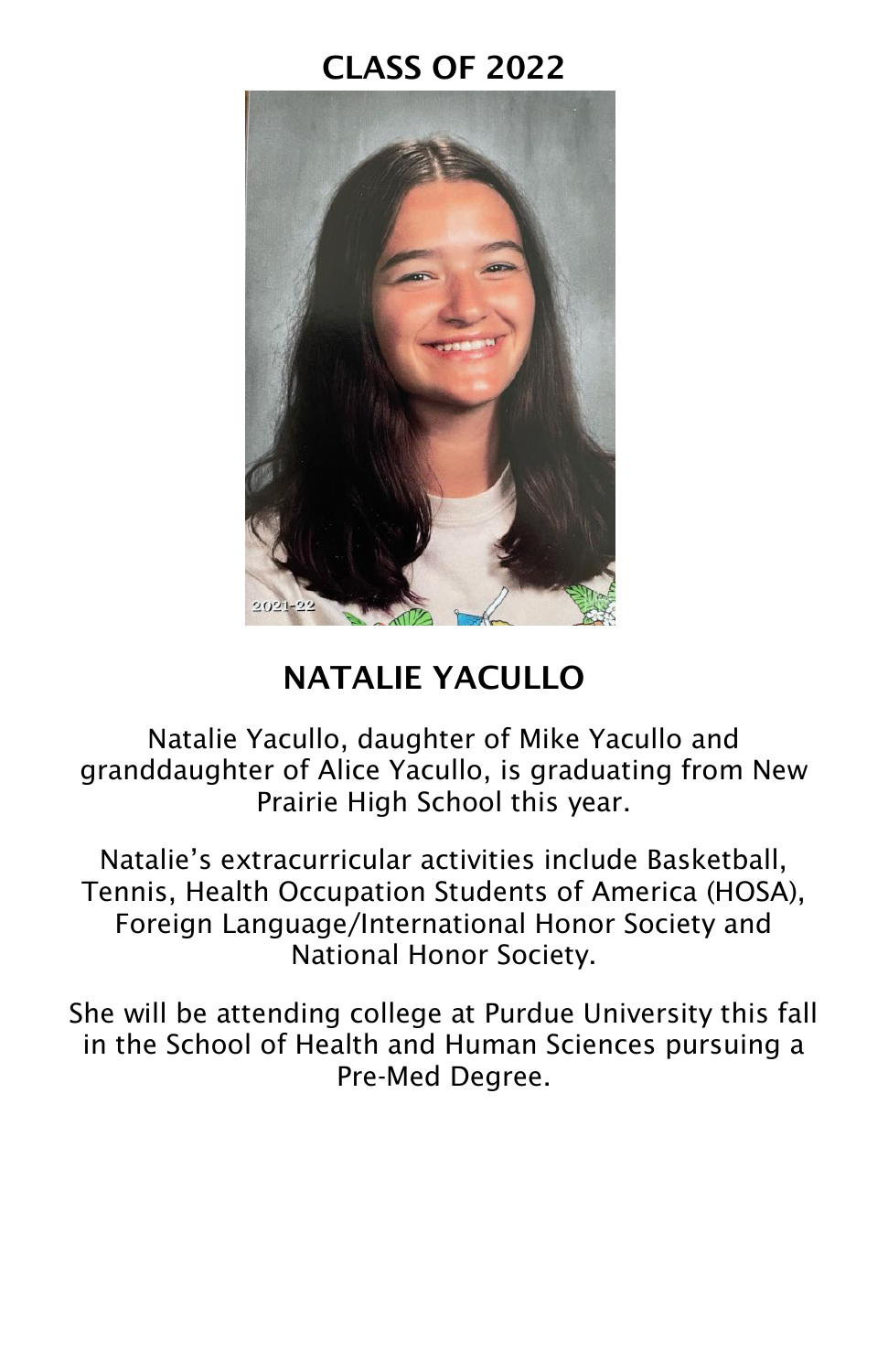

## **NATALIE YACULLO**

Natalie Yacullo, daughter of Mike Yacullo and granddaughter of Alice Yacullo, is graduating from New Prairie High School this year.

Natalie's extracurricular activities include Basketball, Tennis, Health Occupation Students of America (HOSA), Foreign Language/International Honor Society and National Honor Society.

She will be attending college at Purdue University this fall in the School of Health and Human Sciences pursuing a Pre-Med Degree.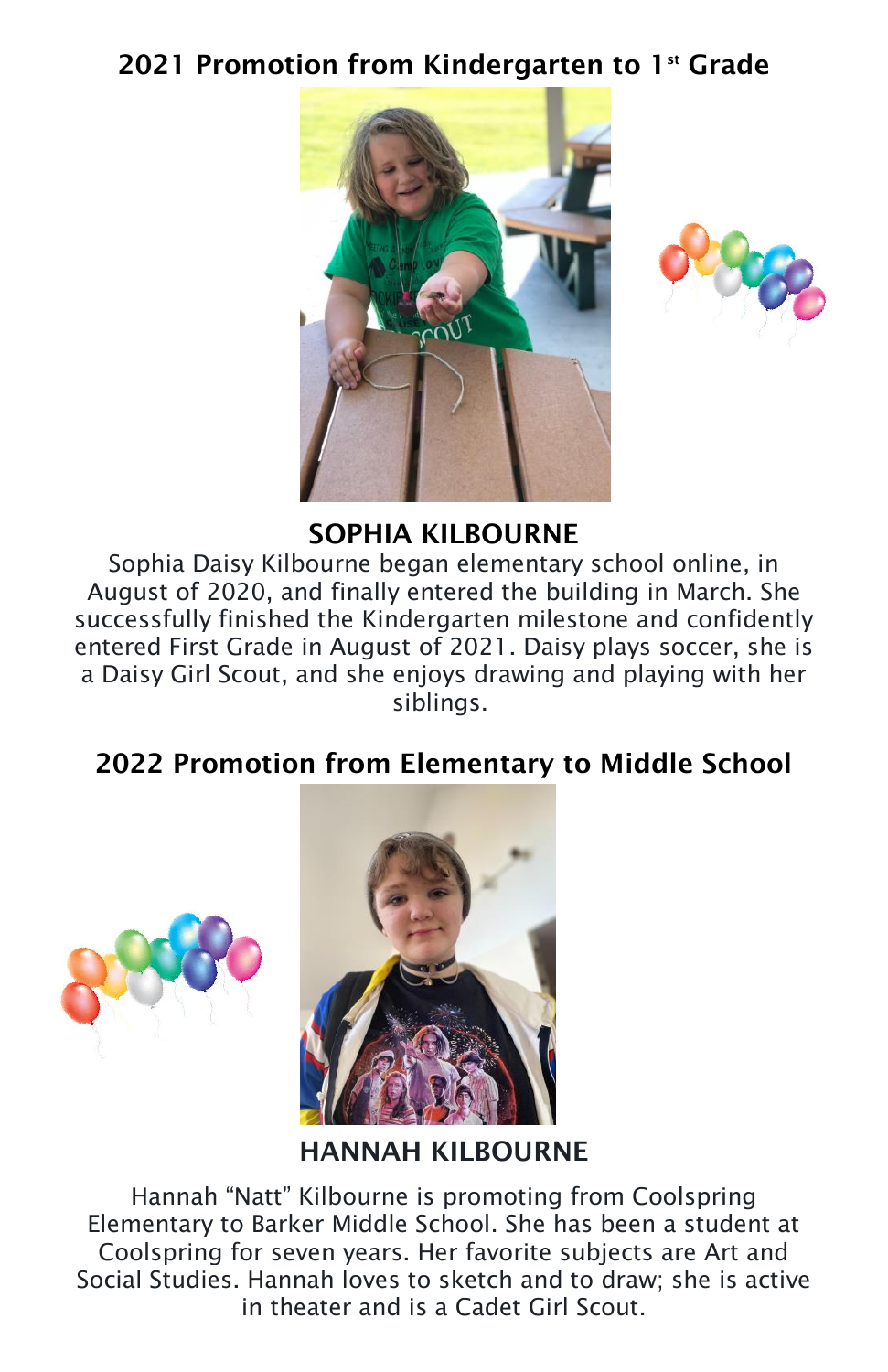#### **2021 Promotion from Kindergarten to 1st Grade**





#### **SOPHIA KILBOURNE**

Sophia Daisy Kilbourne began elementary school online, in August of 2020, and finally entered the building in March. She successfully finished the Kindergarten milestone and confidently entered First Grade in August of 2021. Daisy plays soccer, she is a Daisy Girl Scout, and she enjoys drawing and playing with her siblings.

#### **2022 Promotion from Elementary to Middle School**





**HANNAH KILBOURNE**

Hannah "Natt" Kilbourne is promoting from Coolspring Elementary to Barker Middle School. She has been a student at Coolspring for seven years. Her favorite subjects are Art and Social Studies. Hannah loves to sketch and to draw; she is active in theater and is a Cadet Girl Scout.